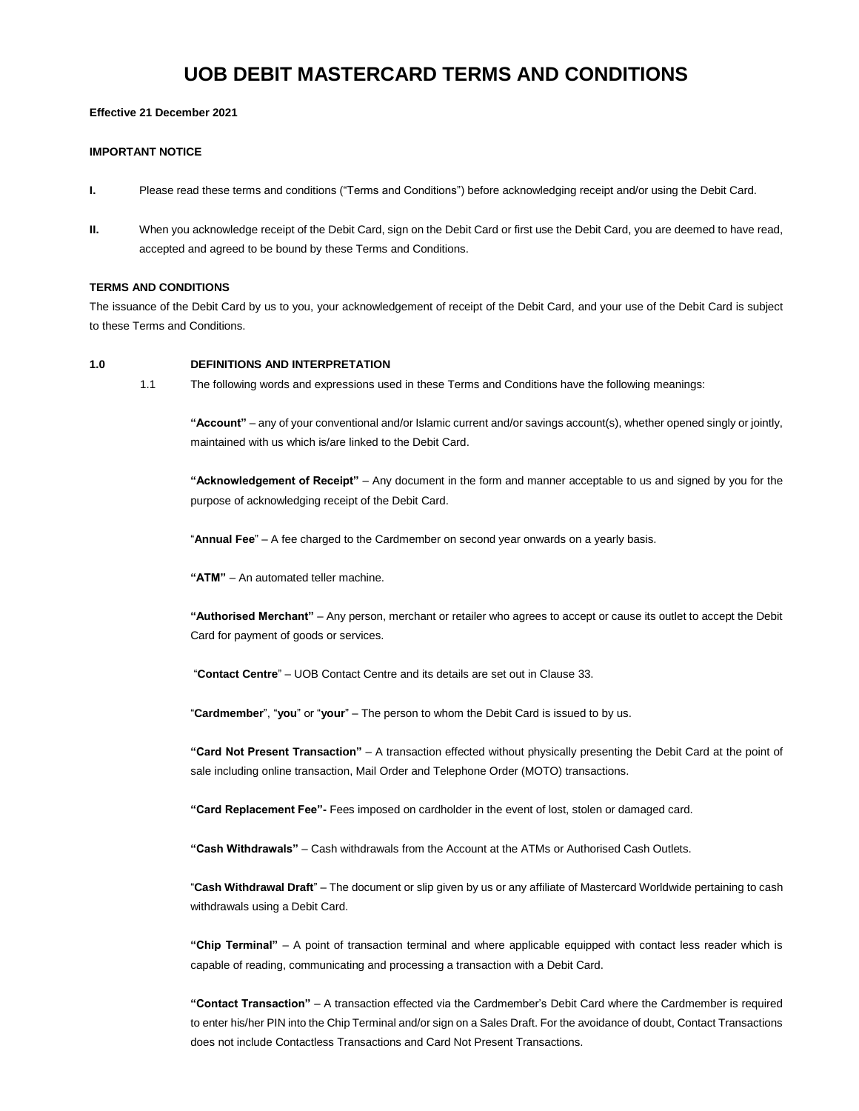# **UOB DEBIT MASTERCARD TERMS AND CONDITIONS**

## **Effective 21 December 2021**

## **IMPORTANT NOTICE**

- **I.** Please read these terms and conditions ("Terms and Conditions") before acknowledging receipt and/or using the Debit Card.
- **II.** When you acknowledge receipt of the Debit Card, sign on the Debit Card or first use the Debit Card, you are deemed to have read, accepted and agreed to be bound by these Terms and Conditions.

# **TERMS AND CONDITIONS**

The issuance of the Debit Card by us to you, your acknowledgement of receipt of the Debit Card, and your use of the Debit Card is subject to these Terms and Conditions.

## **1.0 DEFINITIONS AND INTERPRETATION**

1.1 The following words and expressions used in these Terms and Conditions have the following meanings:

**"Account"** – any of your conventional and/or Islamic current and/or savings account(s), whether opened singly or jointly, maintained with us which is/are linked to the Debit Card.

**"Acknowledgement of Receipt"** – Any document in the form and manner acceptable to us and signed by you for the purpose of acknowledging receipt of the Debit Card.

"**Annual Fee**" – A fee charged to the Cardmember on second year onwards on a yearly basis.

**"ATM"** – An automated teller machine.

**"Authorised Merchant"** – Any person, merchant or retailer who agrees to accept or cause its outlet to accept the Debit Card for payment of goods or services.

"**Contact Centre**" – UOB Contact Centre and its details are set out in Clause 33.

"**Cardmember**", "**you**" or "**your**" – The person to whom the Debit Card is issued to by us.

**"Card Not Present Transaction"** – A transaction effected without physically presenting the Debit Card at the point of sale including online transaction, Mail Order and Telephone Order (MOTO) transactions.

**"Card Replacement Fee"-** Fees imposed on cardholder in the event of lost, stolen or damaged card.

**"Cash Withdrawals"** – Cash withdrawals from the Account at the ATMs or Authorised Cash Outlets.

"**Cash Withdrawal Draft**" – The document or slip given by us or any affiliate of Mastercard Worldwide pertaining to cash withdrawals using a Debit Card.

**"Chip Terminal"** – A point of transaction terminal and where applicable equipped with contact less reader which is capable of reading, communicating and processing a transaction with a Debit Card.

**"Contact Transaction"** – A transaction effected via the Cardmember's Debit Card where the Cardmember is required to enter his/her PIN into the Chip Terminal and/or sign on a Sales Draft. For the avoidance of doubt, Contact Transactions does not include Contactless Transactions and Card Not Present Transactions.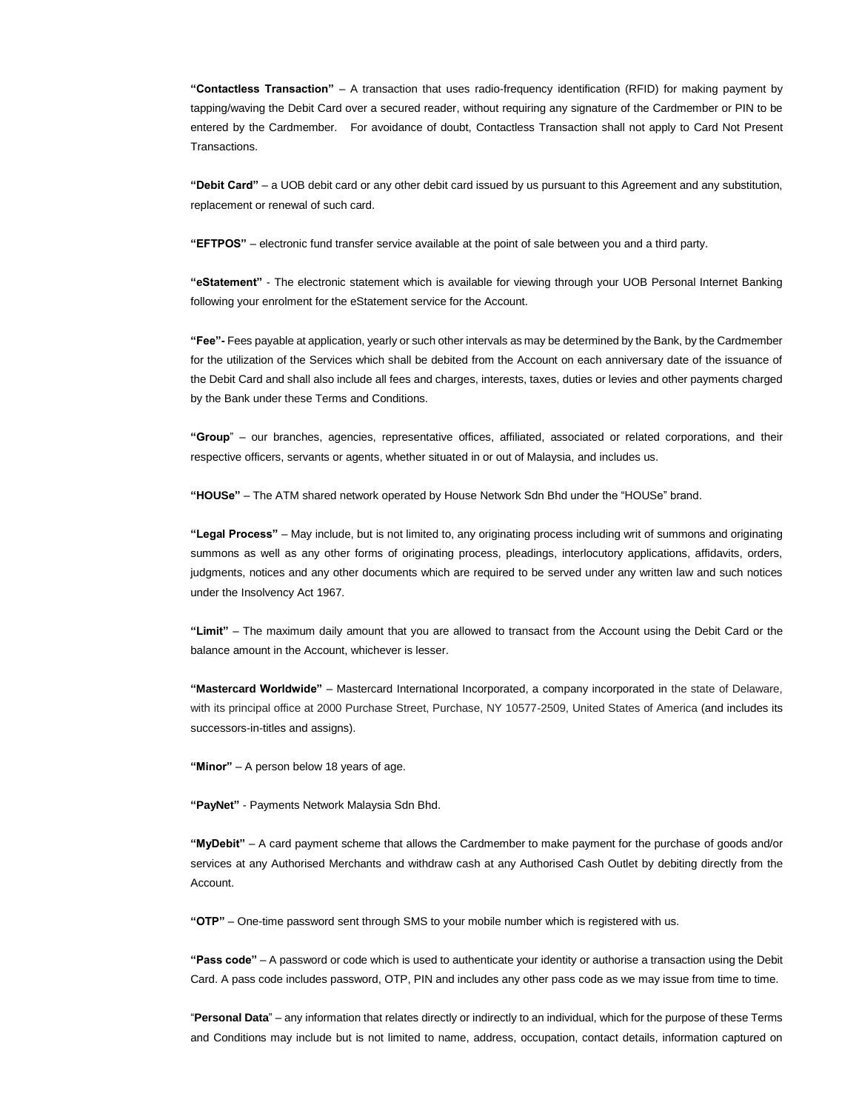**"Contactless Transaction"** – A transaction that uses radio-frequency identification (RFID) for making payment by tapping/waving the Debit Card over a secured reader, without requiring any signature of the Cardmember or PIN to be entered by the Cardmember. For avoidance of doubt, Contactless Transaction shall not apply to Card Not Present Transactions.

**"Debit Card"** – a UOB debit card or any other debit card issued by us pursuant to this Agreement and any substitution, replacement or renewal of such card.

**"EFTPOS"** – electronic fund transfer service available at the point of sale between you and a third party.

**"eStatement"** - The electronic statement which is available for viewing through your UOB Personal Internet Banking following your enrolment for the eStatement service for the Account.

**"Fee"-** Fees payable at application, yearly or such other intervals as may be determined by the Bank, by the Cardmember for the utilization of the Services which shall be debited from the Account on each anniversary date of the issuance of the Debit Card and shall also include all fees and charges, interests, taxes, duties or levies and other payments charged by the Bank under these Terms and Conditions.

**"Group**" – our branches, agencies, representative offices, affiliated, associated or related corporations, and their respective officers, servants or agents, whether situated in or out of Malaysia, and includes us.

**"HOUSe"** – The ATM shared network operated by House Network Sdn Bhd under the "HOUSe" brand.

**"Legal Process"** – May include, but is not limited to, any originating process including writ of summons and originating summons as well as any other forms of originating process, pleadings, interlocutory applications, affidavits, orders, judgments, notices and any other documents which are required to be served under any written law and such notices under the Insolvency Act 1967.

**"Limit"** – The maximum daily amount that you are allowed to transact from the Account using the Debit Card or the balance amount in the Account, whichever is lesser.

**"Mastercard Worldwide"** – Mastercard International Incorporated, a company incorporated in the state of Delaware, with its principal office at 2000 Purchase Street, Purchase, NY 10577-2509, United States of America (and includes its successors-in-titles and assigns).

**"Minor"** – A person below 18 years of age.

**"PayNet"** - Payments Network Malaysia Sdn Bhd.

**"MyDebit"** – A card payment scheme that allows the Cardmember to make payment for the purchase of goods and/or services at any Authorised Merchants and withdraw cash at any Authorised Cash Outlet by debiting directly from the Account.

**"OTP"** – One-time password sent through SMS to your mobile number which is registered with us.

**"Pass code"** – A password or code which is used to authenticate your identity or authorise a transaction using the Debit Card. A pass code includes password, OTP, PIN and includes any other pass code as we may issue from time to time.

"**Personal Data**" – any information that relates directly or indirectly to an individual, which for the purpose of these Terms and Conditions may include but is not limited to name, address, occupation, contact details, information captured on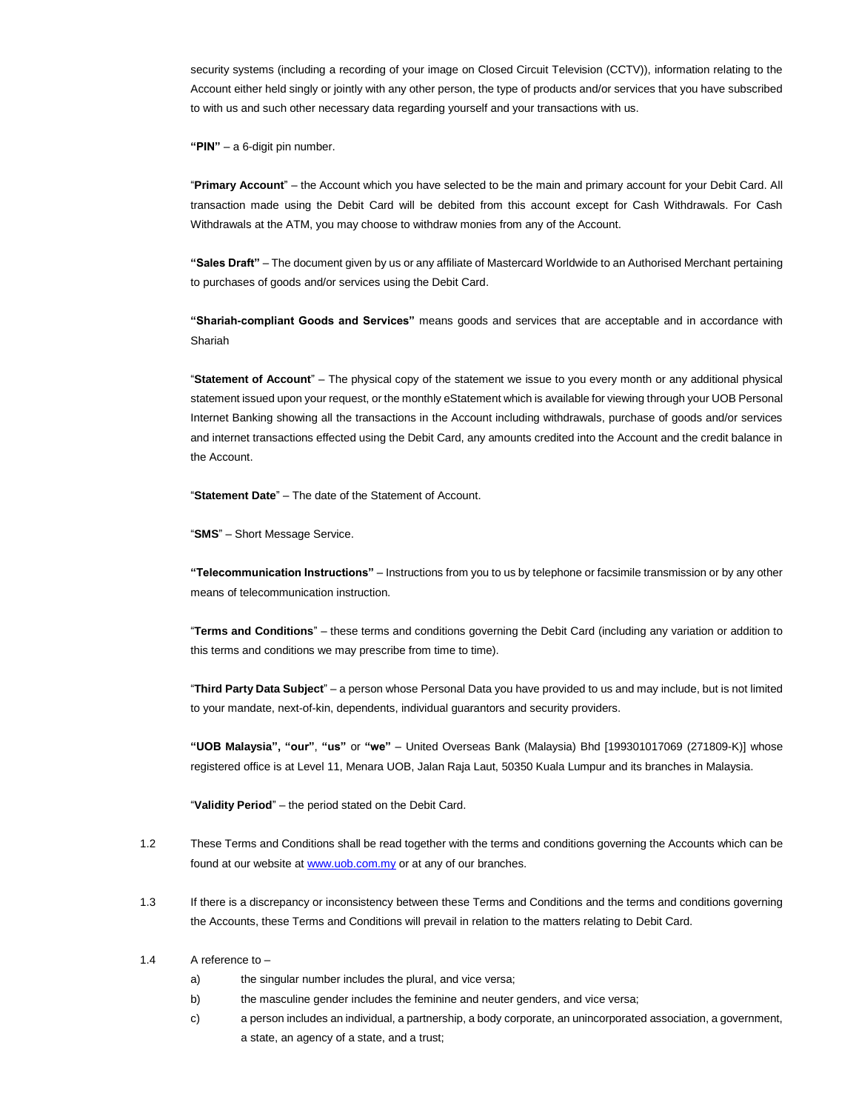security systems (including a recording of your image on Closed Circuit Television (CCTV)), information relating to the Account either held singly or jointly with any other person, the type of products and/or services that you have subscribed to with us and such other necessary data regarding yourself and your transactions with us.

**"PIN"** – a 6-digit pin number.

"**Primary Account**" – the Account which you have selected to be the main and primary account for your Debit Card. All transaction made using the Debit Card will be debited from this account except for Cash Withdrawals. For Cash Withdrawals at the ATM, you may choose to withdraw monies from any of the Account.

**"Sales Draft"** – The document given by us or any affiliate of Mastercard Worldwide to an Authorised Merchant pertaining to purchases of goods and/or services using the Debit Card.

**"Shariah-compliant Goods and Services"** means goods and services that are acceptable and in accordance with Shariah

"**Statement of Account**" – The physical copy of the statement we issue to you every month or any additional physical statement issued upon your request, or the monthly eStatement which is available for viewing through your UOB Personal Internet Banking showing all the transactions in the Account including withdrawals, purchase of goods and/or services and internet transactions effected using the Debit Card, any amounts credited into the Account and the credit balance in the Account.

"**Statement Date**" – The date of the Statement of Account.

"**SMS**" – Short Message Service.

**"Telecommunication Instructions"** – Instructions from you to us by telephone or facsimile transmission or by any other means of telecommunication instruction.

"**Terms and Conditions**" – these terms and conditions governing the Debit Card (including any variation or addition to this terms and conditions we may prescribe from time to time).

"**Third Party Data Subject**" – a person whose Personal Data you have provided to us and may include, but is not limited to your mandate, next-of-kin, dependents, individual guarantors and security providers.

**"UOB Malaysia", "our"**, **"us"** or **"we"** – United Overseas Bank (Malaysia) Bhd [199301017069 (271809-K)] whose registered office is at Level 11, Menara UOB, Jalan Raja Laut, 50350 Kuala Lumpur and its branches in Malaysia.

"**Validity Period**" – the period stated on the Debit Card.

- 1.2 These Terms and Conditions shall be read together with the terms and conditions governing the Accounts which can be found at our website at [www.uob.com.my](http://www.uob.com.my/) or at any of our branches.
- 1.3 If there is a discrepancy or inconsistency between these Terms and Conditions and the terms and conditions governing the Accounts, these Terms and Conditions will prevail in relation to the matters relating to Debit Card.

#### 1.4 A reference to –

- a) the singular number includes the plural, and vice versa;
- b) the masculine gender includes the feminine and neuter genders, and vice versa;
- c) a person includes an individual, a partnership, a body corporate, an unincorporated association, a government, a state, an agency of a state, and a trust;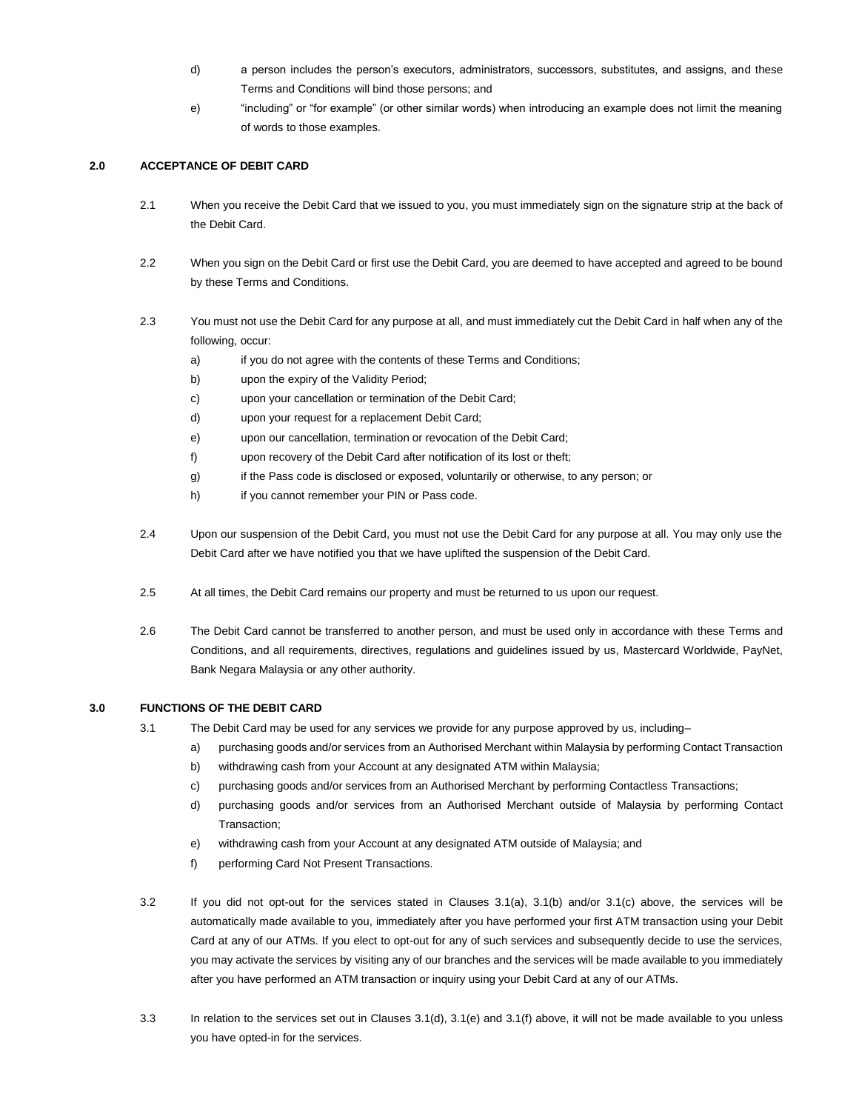- d) a person includes the person's executors, administrators, successors, substitutes, and assigns, and these Terms and Conditions will bind those persons; and
- e) "including" or "for example" (or other similar words) when introducing an example does not limit the meaning of words to those examples.

## **2.0 ACCEPTANCE OF DEBIT CARD**

- 2.1 When you receive the Debit Card that we issued to you, you must immediately sign on the signature strip at the back of the Debit Card.
- 2.2 When you sign on the Debit Card or first use the Debit Card, you are deemed to have accepted and agreed to be bound by these Terms and Conditions.
- 2.3 You must not use the Debit Card for any purpose at all, and must immediately cut the Debit Card in half when any of the following, occur:
	- a) if you do not agree with the contents of these Terms and Conditions;
	- b) upon the expiry of the Validity Period;
	- c) upon your cancellation or termination of the Debit Card;
	- d) upon your request for a replacement Debit Card;
	- e) upon our cancellation, termination or revocation of the Debit Card;
	- f) upon recovery of the Debit Card after notification of its lost or theft;
	- g) if the Pass code is disclosed or exposed, voluntarily or otherwise, to any person; or
	- h) if you cannot remember your PIN or Pass code.
- 2.4 Upon our suspension of the Debit Card, you must not use the Debit Card for any purpose at all. You may only use the Debit Card after we have notified you that we have uplifted the suspension of the Debit Card.
- 2.5 At all times, the Debit Card remains our property and must be returned to us upon our request.
- 2.6 The Debit Card cannot be transferred to another person, and must be used only in accordance with these Terms and Conditions, and all requirements, directives, regulations and guidelines issued by us, Mastercard Worldwide, PayNet, Bank Negara Malaysia or any other authority.

## **3.0 FUNCTIONS OF THE DEBIT CARD**

- 3.1 The Debit Card may be used for any services we provide for any purpose approved by us, including–
	- a) purchasing goods and/or services from an Authorised Merchant within Malaysia by performing Contact Transaction
	- b) withdrawing cash from your Account at any designated ATM within Malaysia;
	- c) purchasing goods and/or services from an Authorised Merchant by performing Contactless Transactions;
	- d) purchasing goods and/or services from an Authorised Merchant outside of Malaysia by performing Contact Transaction;
	- e) withdrawing cash from your Account at any designated ATM outside of Malaysia; and
	- f) performing Card Not Present Transactions.
- 3.2 If you did not opt-out for the services stated in Clauses 3.1(a), 3.1(b) and/or 3.1(c) above, the services will be automatically made available to you, immediately after you have performed your first ATM transaction using your Debit Card at any of our ATMs. If you elect to opt-out for any of such services and subsequently decide to use the services, you may activate the services by visiting any of our branches and the services will be made available to you immediately after you have performed an ATM transaction or inquiry using your Debit Card at any of our ATMs.
- 3.3 In relation to the services set out in Clauses 3.1(d), 3.1(e) and 3.1(f) above, it will not be made available to you unless you have opted-in for the services.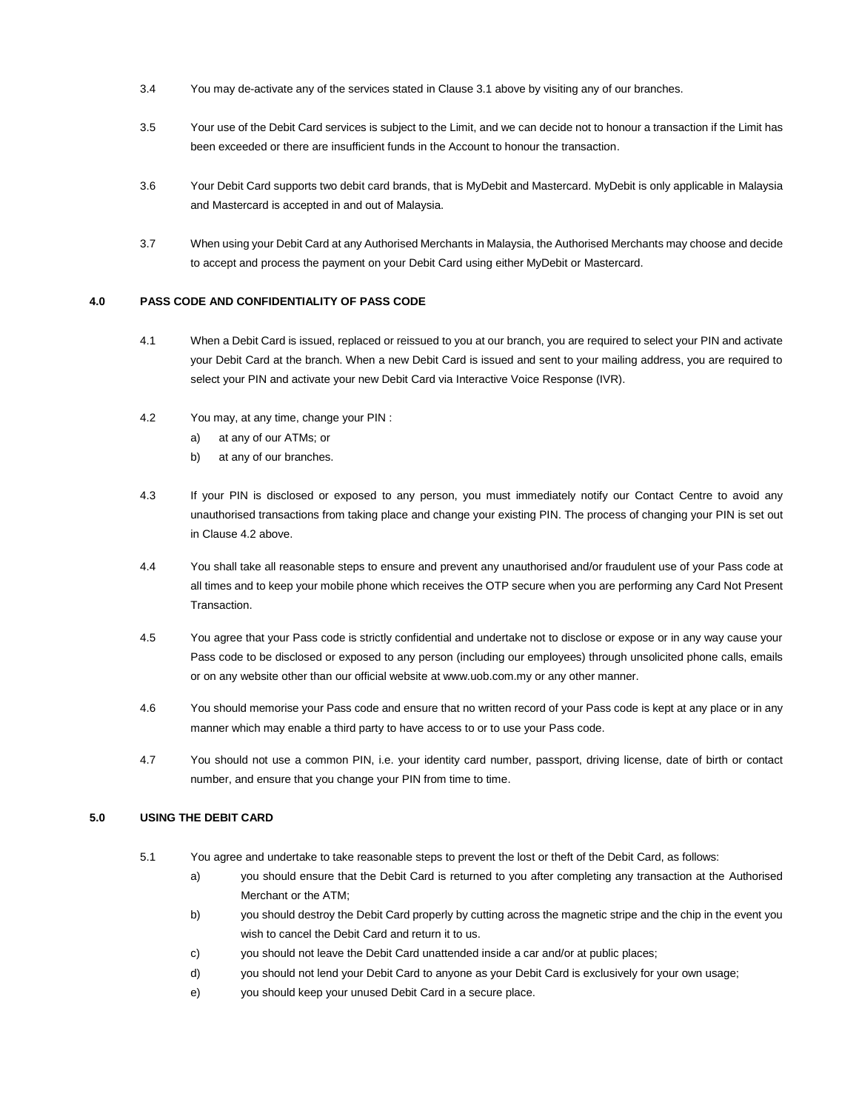- 3.4 You may de-activate any of the services stated in Clause 3.1 above by visiting any of our branches.
- 3.5 Your use of the Debit Card services is subject to the Limit, and we can decide not to honour a transaction if the Limit has been exceeded or there are insufficient funds in the Account to honour the transaction.
- 3.6 Your Debit Card supports two debit card brands, that is MyDebit and Mastercard. MyDebit is only applicable in Malaysia and Mastercard is accepted in and out of Malaysia.
- 3.7 When using your Debit Card at any Authorised Merchants in Malaysia, the Authorised Merchants may choose and decide to accept and process the payment on your Debit Card using either MyDebit or Mastercard.

# **4.0 PASS CODE AND CONFIDENTIALITY OF PASS CODE**

- 4.1 When a Debit Card is issued, replaced or reissued to you at our branch, you are required to select your PIN and activate your Debit Card at the branch. When a new Debit Card is issued and sent to your mailing address, you are required to select your PIN and activate your new Debit Card via Interactive Voice Response (IVR).
- 4.2 You may, at any time, change your PIN :
	- a) at any of our ATMs; or
	- b) at any of our branches.
- 4.3 If your PIN is disclosed or exposed to any person, you must immediately notify our Contact Centre to avoid any unauthorised transactions from taking place and change your existing PIN. The process of changing your PIN is set out in Clause 4.2 above.
- 4.4 You shall take all reasonable steps to ensure and prevent any unauthorised and/or fraudulent use of your Pass code at all times and to keep your mobile phone which receives the OTP secure when you are performing any Card Not Present Transaction.
- 4.5 You agree that your Pass code is strictly confidential and undertake not to disclose or expose or in any way cause your Pass code to be disclosed or exposed to any person (including our employees) through unsolicited phone calls, emails or on any website other than our official website at www.uob.com.my or any other manner.
- 4.6 You should memorise your Pass code and ensure that no written record of your Pass code is kept at any place or in any manner which may enable a third party to have access to or to use your Pass code.
- 4.7 You should not use a common PIN, i.e. your identity card number, passport, driving license, date of birth or contact number, and ensure that you change your PIN from time to time.

## **5.0 USING THE DEBIT CARD**

- 5.1 You agree and undertake to take reasonable steps to prevent the lost or theft of the Debit Card, as follows:
	- a) you should ensure that the Debit Card is returned to you after completing any transaction at the Authorised Merchant or the ATM;
	- b) you should destroy the Debit Card properly by cutting across the magnetic stripe and the chip in the event you wish to cancel the Debit Card and return it to us.
	- c) you should not leave the Debit Card unattended inside a car and/or at public places;
	- d) you should not lend your Debit Card to anyone as your Debit Card is exclusively for your own usage;
	- e) you should keep your unused Debit Card in a secure place.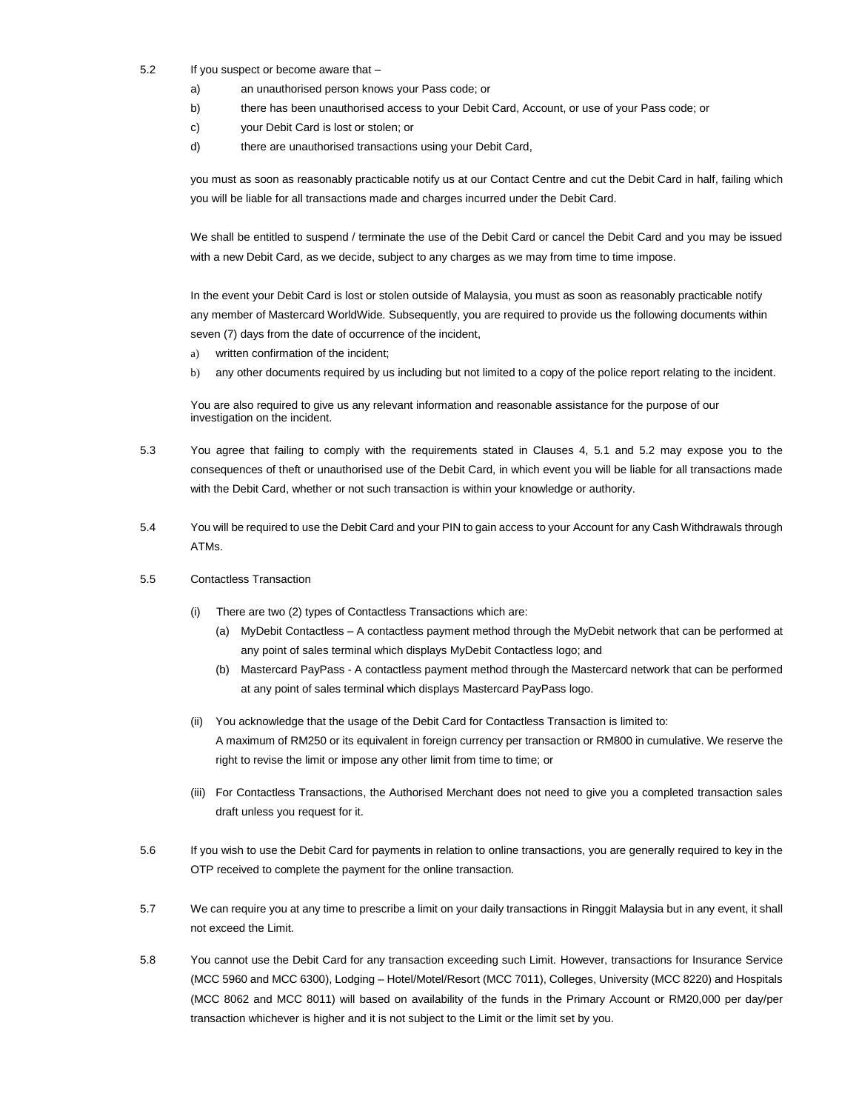- 5.2 If you suspect or become aware that
	- a) an unauthorised person knows your Pass code; or
	- b) there has been unauthorised access to your Debit Card, Account, or use of your Pass code; or
	- c) your Debit Card is lost or stolen; or
	- d) there are unauthorised transactions using your Debit Card,

you must as soon as reasonably practicable notify us at our Contact Centre and cut the Debit Card in half, failing which you will be liable for all transactions made and charges incurred under the Debit Card.

We shall be entitled to suspend / terminate the use of the Debit Card or cancel the Debit Card and you may be issued with a new Debit Card, as we decide, subject to any charges as we may from time to time impose.

In the event your Debit Card is lost or stolen outside of Malaysia, you must as soon as reasonably practicable notify any member of Mastercard WorldWide. Subsequently, you are required to provide us the following documents within seven (7) days from the date of occurrence of the incident,

- a) written confirmation of the incident;
- b) any other documents required by us including but not limited to a copy of the police report relating to the incident.

You are also required to give us any relevant information and reasonable assistance for the purpose of our investigation on the incident.

- 5.3 You agree that failing to comply with the requirements stated in Clauses 4, 5.1 and 5.2 may expose you to the consequences of theft or unauthorised use of the Debit Card, in which event you will be liable for all transactions made with the Debit Card, whether or not such transaction is within your knowledge or authority.
- 5.4 You will be required to use the Debit Card and your PIN to gain access to your Account for any Cash Withdrawals through ATMs.

## 5.5 Contactless Transaction

- (i) There are two (2) types of Contactless Transactions which are:
	- (a) MyDebit Contactless A contactless payment method through the MyDebit network that can be performed at any point of sales terminal which displays MyDebit Contactless logo; and
	- (b) Mastercard PayPass A contactless payment method through the Mastercard network that can be performed at any point of sales terminal which displays Mastercard PayPass logo.
- (ii) You acknowledge that the usage of the Debit Card for Contactless Transaction is limited to: A maximum of RM250 or its equivalent in foreign currency per transaction or RM800 in cumulative. We reserve the right to revise the limit or impose any other limit from time to time; or
- (iii) For Contactless Transactions, the Authorised Merchant does not need to give you a completed transaction sales draft unless you request for it.
- 5.6 If you wish to use the Debit Card for payments in relation to online transactions, you are generally required to key in the OTP received to complete the payment for the online transaction.
- 5.7 We can require you at any time to prescribe a limit on your daily transactions in Ringgit Malaysia but in any event, it shall not exceed the Limit.
- 5.8 You cannot use the Debit Card for any transaction exceeding such Limit. However, transactions for Insurance Service (MCC 5960 and MCC 6300), Lodging – Hotel/Motel/Resort (MCC 7011), Colleges, University (MCC 8220) and Hospitals (MCC 8062 and MCC 8011) will based on availability of the funds in the Primary Account or RM20,000 per day/per transaction whichever is higher and it is not subject to the Limit or the limit set by you.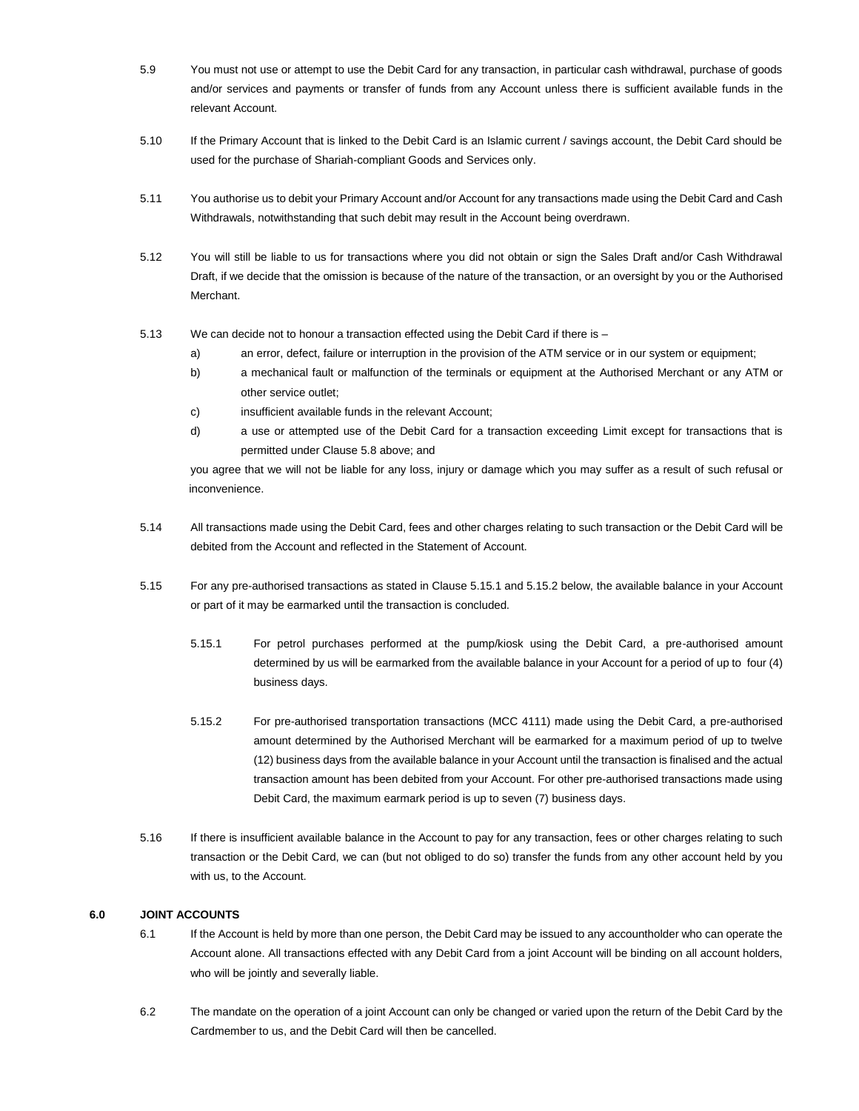- 5.9 You must not use or attempt to use the Debit Card for any transaction, in particular cash withdrawal, purchase of goods and/or services and payments or transfer of funds from any Account unless there is sufficient available funds in the relevant Account.
- 5.10 If the Primary Account that is linked to the Debit Card is an Islamic current / savings account, the Debit Card should be used for the purchase of Shariah-compliant Goods and Services only.
- 5.11 You authorise us to debit your Primary Account and/or Account for any transactions made using the Debit Card and Cash Withdrawals, notwithstanding that such debit may result in the Account being overdrawn.
- 5.12 You will still be liable to us for transactions where you did not obtain or sign the Sales Draft and/or Cash Withdrawal Draft, if we decide that the omission is because of the nature of the transaction, or an oversight by you or the Authorised Merchant.
- 5.13 We can decide not to honour a transaction effected using the Debit Card if there is
	- a) an error, defect, failure or interruption in the provision of the ATM service or in our system or equipment;
	- b) a mechanical fault or malfunction of the terminals or equipment at the Authorised Merchant or any ATM or other service outlet;
	- c) insufficient available funds in the relevant Account;
	- d) a use or attempted use of the Debit Card for a transaction exceeding Limit except for transactions that is permitted under Clause 5.8 above; and

you agree that we will not be liable for any loss, injury or damage which you may suffer as a result of such refusal or inconvenience.

- 5.14 All transactions made using the Debit Card, fees and other charges relating to such transaction or the Debit Card will be debited from the Account and reflected in the Statement of Account.
- 5.15 For any pre-authorised transactions as stated in Clause 5.15.1 and 5.15.2 below, the available balance in your Account or part of it may be earmarked until the transaction is concluded.
	- 5.15.1 For petrol purchases performed at the pump/kiosk using the Debit Card, a pre-authorised amount determined by us will be earmarked from the available balance in your Account for a period of up to four (4) business days.
	- 5.15.2 For pre-authorised transportation transactions (MCC 4111) made using the Debit Card, a pre-authorised amount determined by the Authorised Merchant will be earmarked for a maximum period of up to twelve (12) business days from the available balance in your Account until the transaction is finalised and the actual transaction amount has been debited from your Account. For other pre-authorised transactions made using Debit Card, the maximum earmark period is up to seven (7) business days.
- 5.16 If there is insufficient available balance in the Account to pay for any transaction, fees or other charges relating to such transaction or the Debit Card, we can (but not obliged to do so) transfer the funds from any other account held by you with us, to the Account.

## **6.0 JOINT ACCOUNTS**

- 6.1 If the Account is held by more than one person, the Debit Card may be issued to any accountholder who can operate the Account alone. All transactions effected with any Debit Card from a joint Account will be binding on all account holders, who will be jointly and severally liable.
- 6.2 The mandate on the operation of a joint Account can only be changed or varied upon the return of the Debit Card by the Cardmember to us, and the Debit Card will then be cancelled.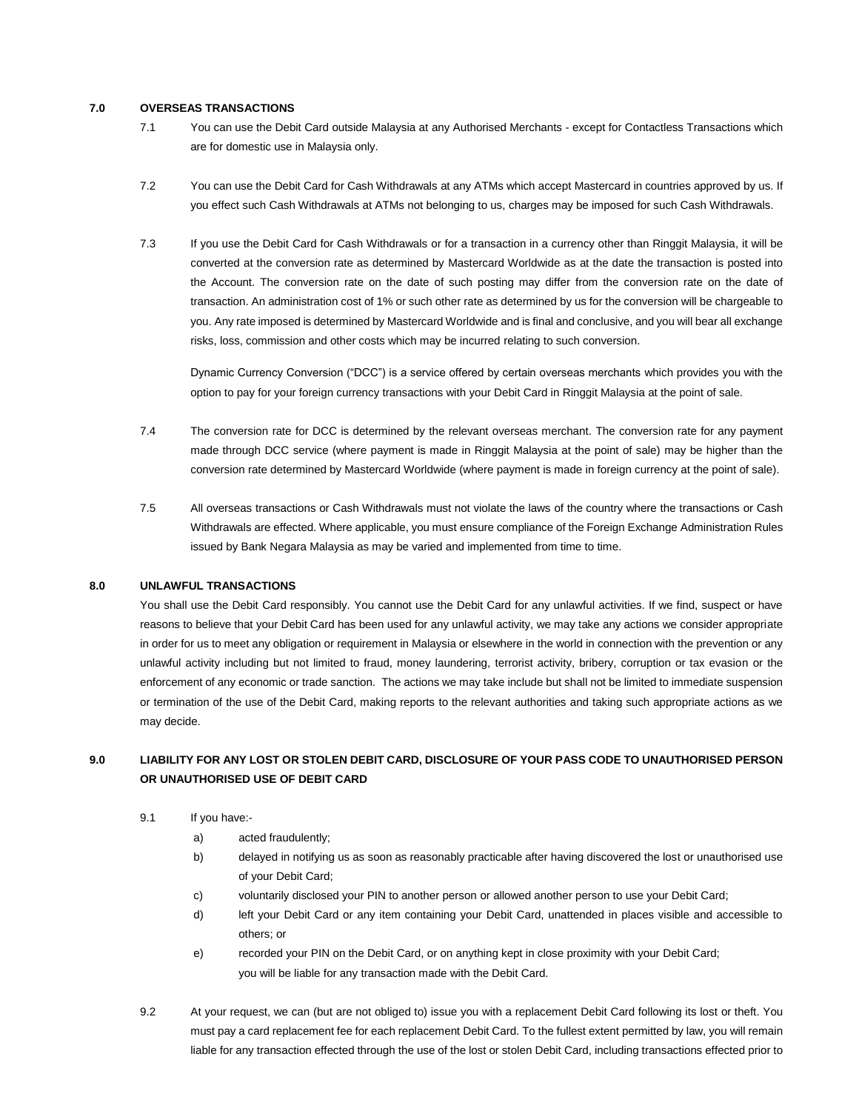#### **7.0 OVERSEAS TRANSACTIONS**

- 7.1 You can use the Debit Card outside Malaysia at any Authorised Merchants except for Contactless Transactions which are for domestic use in Malaysia only.
- 7.2 You can use the Debit Card for Cash Withdrawals at any ATMs which accept Mastercard in countries approved by us. If you effect such Cash Withdrawals at ATMs not belonging to us, charges may be imposed for such Cash Withdrawals.
- 7.3 If you use the Debit Card for Cash Withdrawals or for a transaction in a currency other than Ringgit Malaysia, it will be converted at the conversion rate as determined by Mastercard Worldwide as at the date the transaction is posted into the Account. The conversion rate on the date of such posting may differ from the conversion rate on the date of transaction. An administration cost of 1% or such other rate as determined by us for the conversion will be chargeable to you. Any rate imposed is determined by Mastercard Worldwide and is final and conclusive, and you will bear all exchange risks, loss, commission and other costs which may be incurred relating to such conversion.

Dynamic Currency Conversion ("DCC") is a service offered by certain overseas merchants which provides you with the option to pay for your foreign currency transactions with your Debit Card in Ringgit Malaysia at the point of sale.

- 7.4 The conversion rate for DCC is determined by the relevant overseas merchant. The conversion rate for any payment made through DCC service (where payment is made in Ringgit Malaysia at the point of sale) may be higher than the conversion rate determined by Mastercard Worldwide (where payment is made in foreign currency at the point of sale).
- 7.5 All overseas transactions or Cash Withdrawals must not violate the laws of the country where the transactions or Cash Withdrawals are effected. Where applicable, you must ensure compliance of the Foreign Exchange Administration Rules issued by Bank Negara Malaysia as may be varied and implemented from time to time.

#### **8.0 UNLAWFUL TRANSACTIONS**

You shall use the Debit Card responsibly. You cannot use the Debit Card for any unlawful activities. If we find, suspect or have reasons to believe that your Debit Card has been used for any unlawful activity, we may take any actions we consider appropriate in order for us to meet any obligation or requirement in Malaysia or elsewhere in the world in connection with the prevention or any unlawful activity including but not limited to fraud, money laundering, terrorist activity, bribery, corruption or tax evasion or the enforcement of any economic or trade sanction. The actions we may take include but shall not be limited to immediate suspension or termination of the use of the Debit Card, making reports to the relevant authorities and taking such appropriate actions as we may decide.

# **9.0 LIABILITY FOR ANY LOST OR STOLEN DEBIT CARD, DISCLOSURE OF YOUR PASS CODE TO UNAUTHORISED PERSON OR UNAUTHORISED USE OF DEBIT CARD**

- 9.1 If you have:
	- a) acted fraudulently;
	- b) delayed in notifying us as soon as reasonably practicable after having discovered the lost or unauthorised use of your Debit Card;
	- c) voluntarily disclosed your PIN to another person or allowed another person to use your Debit Card;
	- d) left your Debit Card or any item containing your Debit Card, unattended in places visible and accessible to others; or
	- e) recorded your PIN on the Debit Card, or on anything kept in close proximity with your Debit Card; you will be liable for any transaction made with the Debit Card.
- 9.2 At your request, we can (but are not obliged to) issue you with a replacement Debit Card following its lost or theft. You must pay a card replacement fee for each replacement Debit Card. To the fullest extent permitted by law, you will remain liable for any transaction effected through the use of the lost or stolen Debit Card, including transactions effected prior to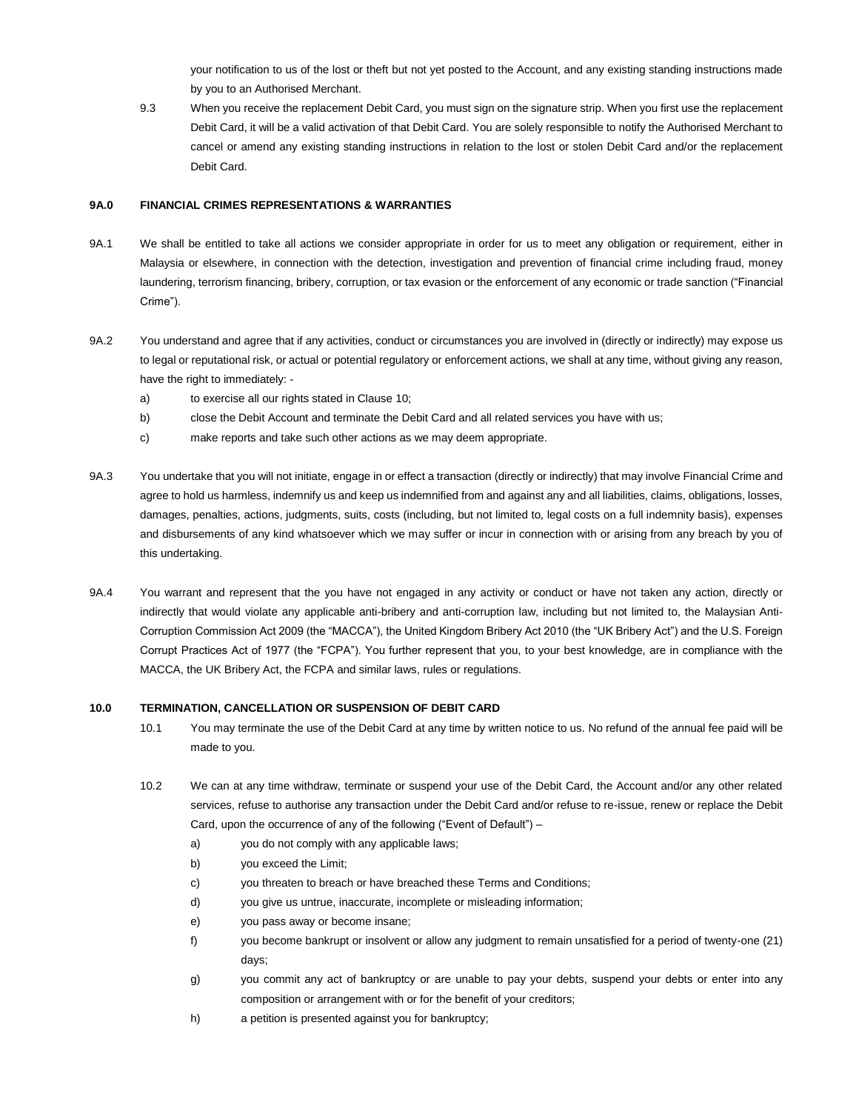your notification to us of the lost or theft but not yet posted to the Account, and any existing standing instructions made by you to an Authorised Merchant.

9.3 When you receive the replacement Debit Card, you must sign on the signature strip. When you first use the replacement Debit Card, it will be a valid activation of that Debit Card. You are solely responsible to notify the Authorised Merchant to cancel or amend any existing standing instructions in relation to the lost or stolen Debit Card and/or the replacement Debit Card.

#### **9A.0 FINANCIAL CRIMES REPRESENTATIONS & WARRANTIES**

- 9A.1 We shall be entitled to take all actions we consider appropriate in order for us to meet any obligation or requirement, either in Malaysia or elsewhere, in connection with the detection, investigation and prevention of financial crime including fraud, money laundering, terrorism financing, bribery, corruption, or tax evasion or the enforcement of any economic or trade sanction ("Financial Crime").
- 9A.2 You understand and agree that if any activities, conduct or circumstances you are involved in (directly or indirectly) may expose us to legal or reputational risk, or actual or potential regulatory or enforcement actions, we shall at any time, without giving any reason, have the right to immediately:
	- a) to exercise all our rights stated in Clause 10;
	- b) close the Debit Account and terminate the Debit Card and all related services you have with us;
	- c) make reports and take such other actions as we may deem appropriate.
- 9A.3 You undertake that you will not initiate, engage in or effect a transaction (directly or indirectly) that may involve Financial Crime and agree to hold us harmless, indemnify us and keep us indemnified from and against any and all liabilities, claims, obligations, losses, damages, penalties, actions, judgments, suits, costs (including, but not limited to, legal costs on a full indemnity basis), expenses and disbursements of any kind whatsoever which we may suffer or incur in connection with or arising from any breach by you of this undertaking.
- 9A.4 You warrant and represent that the you have not engaged in any activity or conduct or have not taken any action, directly or indirectly that would violate any applicable anti-bribery and anti-corruption law, including but not limited to, the Malaysian Anti-Corruption Commission Act 2009 (the "MACCA"), the United Kingdom Bribery Act 2010 (the "UK Bribery Act") and the U.S. Foreign Corrupt Practices Act of 1977 (the "FCPA"). You further represent that you, to your best knowledge, are in compliance with the MACCA, the UK Bribery Act, the FCPA and similar laws, rules or regulations.

## **10.0 TERMINATION, CANCELLATION OR SUSPENSION OF DEBIT CARD**

- 10.1 You may terminate the use of the Debit Card at any time by written notice to us. No refund of the annual fee paid will be made to you.
- 10.2 We can at any time withdraw, terminate or suspend your use of the Debit Card, the Account and/or any other related services, refuse to authorise any transaction under the Debit Card and/or refuse to re-issue, renew or replace the Debit Card, upon the occurrence of any of the following ("Event of Default") –
	- a) you do not comply with any applicable laws;
	- b) you exceed the Limit;
	- c) you threaten to breach or have breached these Terms and Conditions;
	- d) you give us untrue, inaccurate, incomplete or misleading information;
	- e) you pass away or become insane;
	- f) you become bankrupt or insolvent or allow any judgment to remain unsatisfied for a period of twenty-one (21) days;
	- g) you commit any act of bankruptcy or are unable to pay your debts, suspend your debts or enter into any composition or arrangement with or for the benefit of your creditors;
	- h) a petition is presented against you for bankruptcy;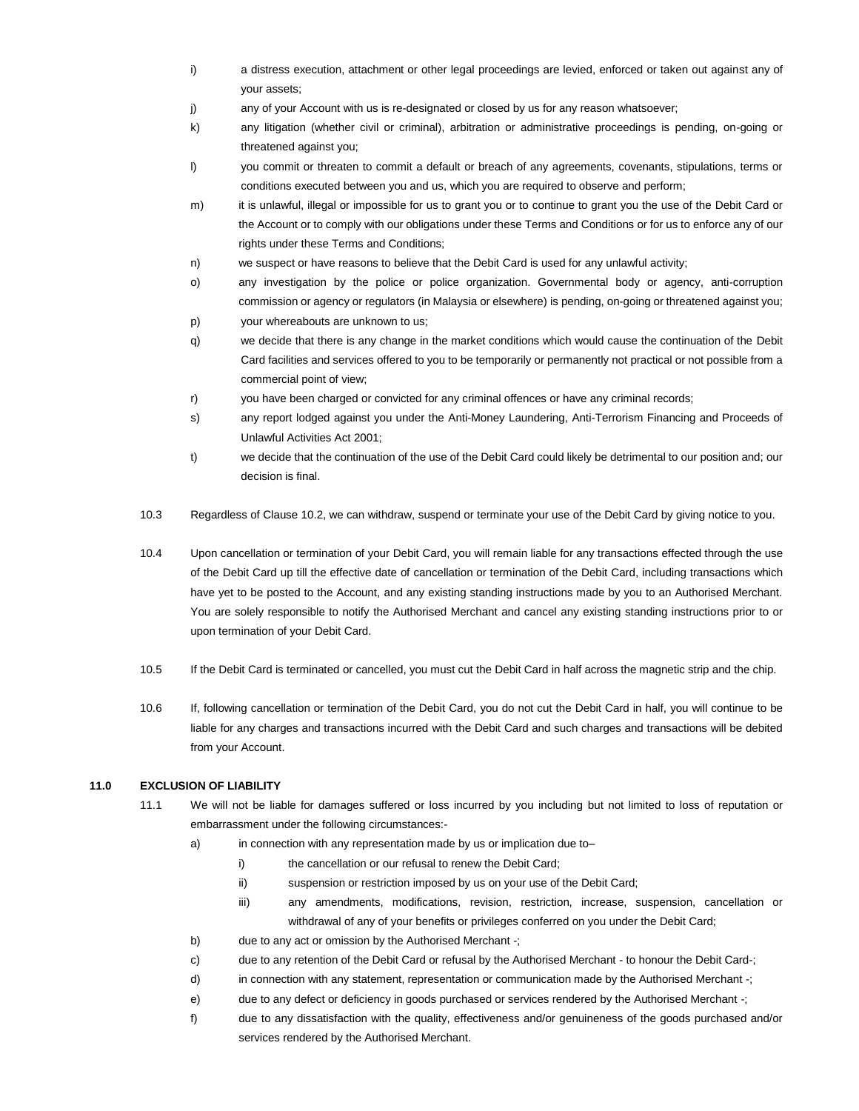- i) a distress execution, attachment or other legal proceedings are levied, enforced or taken out against any of your assets;
- j) any of your Account with us is re-designated or closed by us for any reason whatsoever;
- k) any litigation (whether civil or criminal), arbitration or administrative proceedings is pending, on-going or threatened against you;
- l) you commit or threaten to commit a default or breach of any agreements, covenants, stipulations, terms or conditions executed between you and us, which you are required to observe and perform;
- m) it is unlawful, illegal or impossible for us to grant you or to continue to grant you the use of the Debit Card or the Account or to comply with our obligations under these Terms and Conditions or for us to enforce any of our rights under these Terms and Conditions;
- n) we suspect or have reasons to believe that the Debit Card is used for any unlawful activity;
- o) any investigation by the police or police organization. Governmental body or agency, anti-corruption commission or agency or regulators (in Malaysia or elsewhere) is pending, on-going or threatened against you; p) your whereabouts are unknown to us;
- q) we decide that there is any change in the market conditions which would cause the continuation of the Debit Card facilities and services offered to you to be temporarily or permanently not practical or not possible from a commercial point of view;
- r) you have been charged or convicted for any criminal offences or have any criminal records;
- s) any report lodged against you under the Anti-Money Laundering, Anti-Terrorism Financing and Proceeds of Unlawful Activities Act 2001;
- t) we decide that the continuation of the use of the Debit Card could likely be detrimental to our position and; our decision is final.
- 10.3 Regardless of Clause 10.2, we can withdraw, suspend or terminate your use of the Debit Card by giving notice to you.
- 10.4 Upon cancellation or termination of your Debit Card, you will remain liable for any transactions effected through the use of the Debit Card up till the effective date of cancellation or termination of the Debit Card, including transactions which have yet to be posted to the Account, and any existing standing instructions made by you to an Authorised Merchant. You are solely responsible to notify the Authorised Merchant and cancel any existing standing instructions prior to or upon termination of your Debit Card.
- 10.5 If the Debit Card is terminated or cancelled, you must cut the Debit Card in half across the magnetic strip and the chip.
- 10.6 If, following cancellation or termination of the Debit Card, you do not cut the Debit Card in half, you will continue to be liable for any charges and transactions incurred with the Debit Card and such charges and transactions will be debited from your Account.

## **11.0 EXCLUSION OF LIABILITY**

- 11.1 We will not be liable for damages suffered or loss incurred by you including but not limited to loss of reputation or embarrassment under the following circumstances:
	- a) in connection with any representation made by us or implication due to–
		- i) the cancellation or our refusal to renew the Debit Card;
		- ii) suspension or restriction imposed by us on your use of the Debit Card;
		- iii) any amendments, modifications, revision, restriction, increase, suspension, cancellation or withdrawal of any of your benefits or privileges conferred on you under the Debit Card;
	- b) due to any act or omission by the Authorised Merchant -;
	- c) due to any retention of the Debit Card or refusal by the Authorised Merchant to honour the Debit Card-;
	- d) in connection with any statement, representation or communication made by the Authorised Merchant -;
	- e) due to any defect or deficiency in goods purchased or services rendered by the Authorised Merchant -;
	- f) due to any dissatisfaction with the quality, effectiveness and/or genuineness of the goods purchased and/or services rendered by the Authorised Merchant.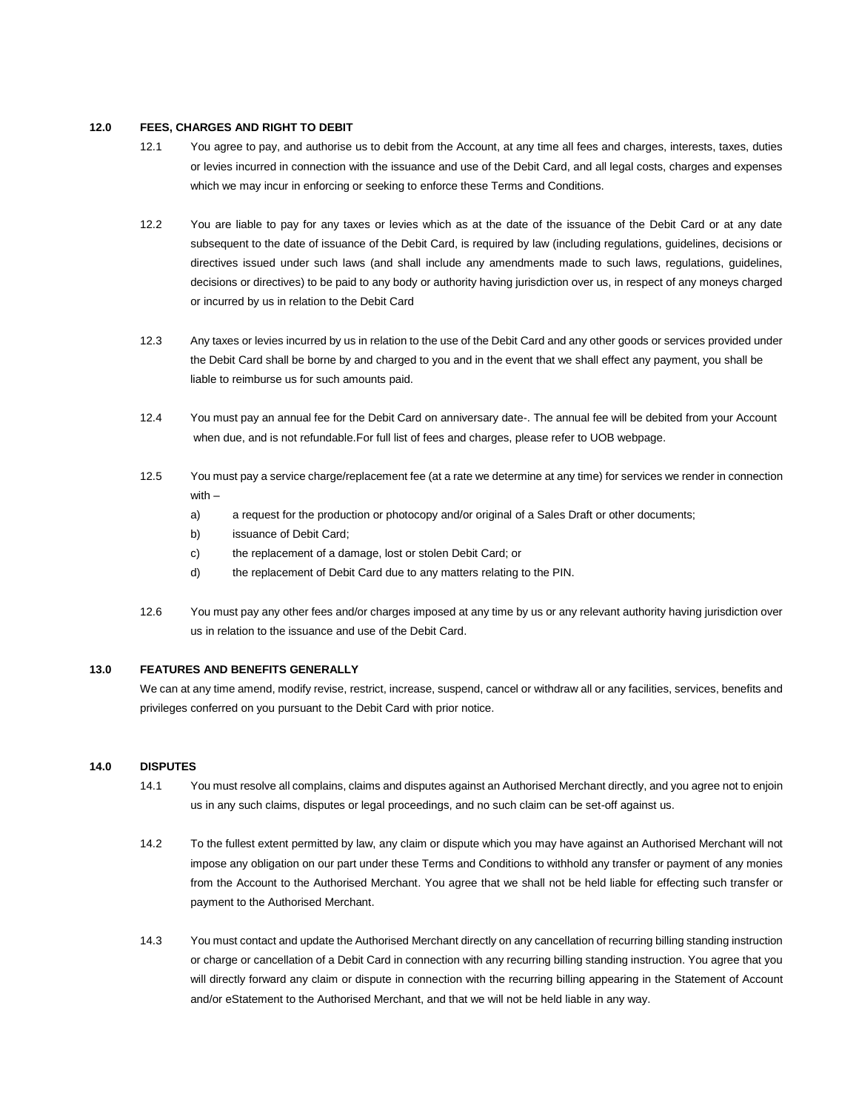#### **12.0 FEES, CHARGES AND RIGHT TO DEBIT**

- 12.1 You agree to pay, and authorise us to debit from the Account, at any time all fees and charges, interests, taxes, duties or levies incurred in connection with the issuance and use of the Debit Card, and all legal costs, charges and expenses which we may incur in enforcing or seeking to enforce these Terms and Conditions.
- 12.2 You are liable to pay for any taxes or levies which as at the date of the issuance of the Debit Card or at any date subsequent to the date of issuance of the Debit Card, is required by law (including regulations, guidelines, decisions or directives issued under such laws (and shall include any amendments made to such laws, regulations, guidelines, decisions or directives) to be paid to any body or authority having jurisdiction over us, in respect of any moneys charged or incurred by us in relation to the Debit Card
- 12.3 Any taxes or levies incurred by us in relation to the use of the Debit Card and any other goods or services provided under the Debit Card shall be borne by and charged to you and in the event that we shall effect any payment, you shall be liable to reimburse us for such amounts paid.
- 12.4 You must pay an annual fee for the Debit Card on anniversary date-. The annual fee will be debited from your Account when due, and is not refundable.For full list of fees and charges, please refer to UOB webpage.
- 12.5 You must pay a service charge/replacement fee (at a rate we determine at any time) for services we render in connection with –
	- a) a request for the production or photocopy and/or original of a Sales Draft or other documents;
	- b) issuance of Debit Card;
	- c) the replacement of a damage, lost or stolen Debit Card; or
	- d) the replacement of Debit Card due to any matters relating to the PIN.
- 12.6 You must pay any other fees and/or charges imposed at any time by us or any relevant authority having jurisdiction over us in relation to the issuance and use of the Debit Card.

## **13.0 FEATURES AND BENEFITS GENERALLY**

We can at any time amend, modify revise, restrict, increase, suspend, cancel or withdraw all or any facilities, services, benefits and privileges conferred on you pursuant to the Debit Card with prior notice.

#### **14.0 DISPUTES**

- 14.1 You must resolve all complains, claims and disputes against an Authorised Merchant directly, and you agree not to enjoin us in any such claims, disputes or legal proceedings, and no such claim can be set-off against us.
- 14.2 To the fullest extent permitted by law, any claim or dispute which you may have against an Authorised Merchant will not impose any obligation on our part under these Terms and Conditions to withhold any transfer or payment of any monies from the Account to the Authorised Merchant. You agree that we shall not be held liable for effecting such transfer or payment to the Authorised Merchant.
- 14.3 You must contact and update the Authorised Merchant directly on any cancellation of recurring billing standing instruction or charge or cancellation of a Debit Card in connection with any recurring billing standing instruction. You agree that you will directly forward any claim or dispute in connection with the recurring billing appearing in the Statement of Account and/or eStatement to the Authorised Merchant, and that we will not be held liable in any way.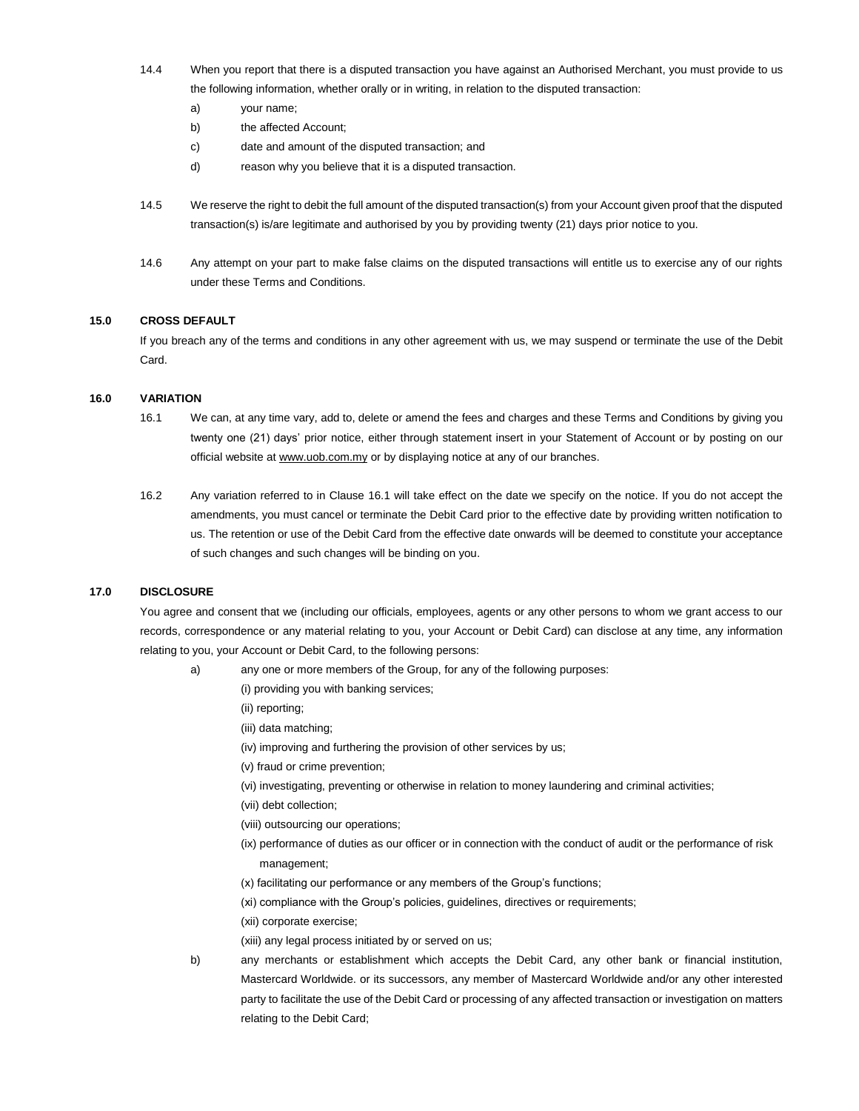- 14.4 When you report that there is a disputed transaction you have against an Authorised Merchant, you must provide to us the following information, whether orally or in writing, in relation to the disputed transaction:
	- a) your name;
	- b) the affected Account;
	- c) date and amount of the disputed transaction; and
	- d) reason why you believe that it is a disputed transaction.
- 14.5 We reserve the right to debit the full amount of the disputed transaction(s) from your Account given proof that the disputed transaction(s) is/are legitimate and authorised by you by providing twenty (21) days prior notice to you.
- 14.6 Any attempt on your part to make false claims on the disputed transactions will entitle us to exercise any of our rights under these Terms and Conditions.

## **15.0 CROSS DEFAULT**

If you breach any of the terms and conditions in any other agreement with us, we may suspend or terminate the use of the Debit Card.

#### **16.0 VARIATION**

- 16.1 We can, at any time vary, add to, delete or amend the fees and charges and these Terms and Conditions by giving you twenty one (21) days' prior notice, either through statement insert in your Statement of Account or by posting on our official website at [www.uob.com.my](http://www.uob.com.my/) or by displaying notice at any of our branches.
- 16.2 Any variation referred to in Clause 16.1 will take effect on the date we specify on the notice. If you do not accept the amendments, you must cancel or terminate the Debit Card prior to the effective date by providing written notification to us. The retention or use of the Debit Card from the effective date onwards will be deemed to constitute your acceptance of such changes and such changes will be binding on you.

## **17.0 DISCLOSURE**

You agree and consent that we (including our officials, employees, agents or any other persons to whom we grant access to our records, correspondence or any material relating to you, your Account or Debit Card) can disclose at any time, any information relating to you, your Account or Debit Card, to the following persons:

- a) any one or more members of the Group, for any of the following purposes:
	- (i) providing you with banking services;
	- (ii) reporting;
	- (iii) data matching;
	- (iv) improving and furthering the provision of other services by us;
	- (v) fraud or crime prevention;
	- (vi) investigating, preventing or otherwise in relation to money laundering and criminal activities;
	- (vii) debt collection;
	- (viii) outsourcing our operations;
	- (ix) performance of duties as our officer or in connection with the conduct of audit or the performance of risk management;
	- (x) facilitating our performance or any members of the Group's functions;
	- (xi) compliance with the Group's policies, guidelines, directives or requirements;
	- (xii) corporate exercise;
	- (xiii) any legal process initiated by or served on us;
- 
- b) any merchants or establishment which accepts the Debit Card, any other bank or financial institution, Mastercard Worldwide. or its successors, any member of Mastercard Worldwide and/or any other interested party to facilitate the use of the Debit Card or processing of any affected transaction or investigation on matters relating to the Debit Card;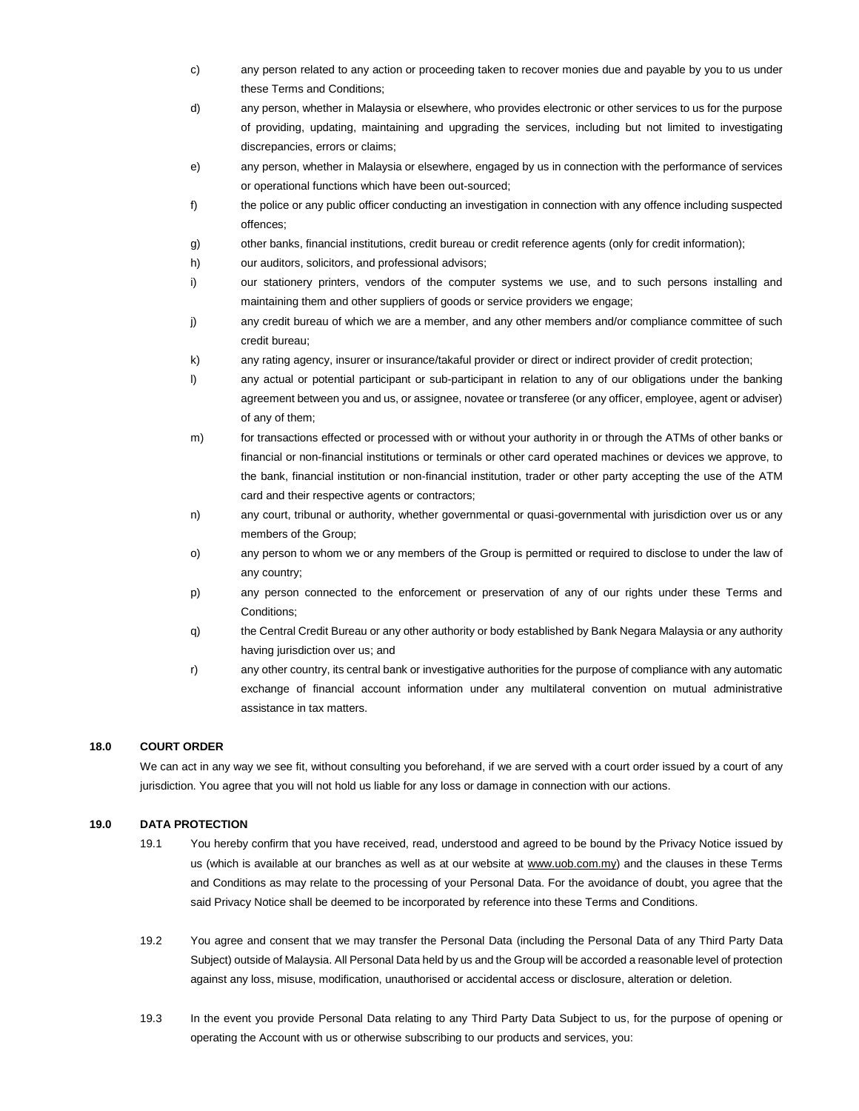- c) any person related to any action or proceeding taken to recover monies due and payable by you to us under these Terms and Conditions;
- d) any person, whether in Malaysia or elsewhere, who provides electronic or other services to us for the purpose of providing, updating, maintaining and upgrading the services, including but not limited to investigating discrepancies, errors or claims;
- e) any person, whether in Malaysia or elsewhere, engaged by us in connection with the performance of services or operational functions which have been out-sourced;
- f) the police or any public officer conducting an investigation in connection with any offence including suspected offences;
- g) other banks, financial institutions, credit bureau or credit reference agents (only for credit information);
- h) our auditors, solicitors, and professional advisors;
- i) our stationery printers, vendors of the computer systems we use, and to such persons installing and maintaining them and other suppliers of goods or service providers we engage;
- j) any credit bureau of which we are a member, and any other members and/or compliance committee of such credit bureau;
- k) any rating agency, insurer or insurance/takaful provider or direct or indirect provider of credit protection;
- l) any actual or potential participant or sub-participant in relation to any of our obligations under the banking agreement between you and us, or assignee, novatee or transferee (or any officer, employee, agent or adviser) of any of them;
- m) for transactions effected or processed with or without your authority in or through the ATMs of other banks or financial or non-financial institutions or terminals or other card operated machines or devices we approve, to the bank, financial institution or non-financial institution, trader or other party accepting the use of the ATM card and their respective agents or contractors;
- n) any court, tribunal or authority, whether governmental or quasi-governmental with jurisdiction over us or any members of the Group;
- o) any person to whom we or any members of the Group is permitted or required to disclose to under the law of any country;
- p) any person connected to the enforcement or preservation of any of our rights under these Terms and Conditions;
- q) the Central Credit Bureau or any other authority or body established by Bank Negara Malaysia or any authority having jurisdiction over us; and
- r) any other country, its central bank or investigative authorities for the purpose of compliance with any automatic exchange of financial account information under any multilateral convention on mutual administrative assistance in tax matters.

#### **18.0 COURT ORDER**

We can act in any way we see fit, without consulting you beforehand, if we are served with a court order issued by a court of any jurisdiction. You agree that you will not hold us liable for any loss or damage in connection with our actions.

#### **19.0 DATA PROTECTION**

- 19.1 You hereby confirm that you have received, read, understood and agreed to be bound by the Privacy Notice issued by us (which is available at our branches as well as at our website at [www.uob.com.my\)](http://www.uob.com.my/) and the clauses in these Terms and Conditions as may relate to the processing of your Personal Data. For the avoidance of doubt, you agree that the said Privacy Notice shall be deemed to be incorporated by reference into these Terms and Conditions.
- 19.2 You agree and consent that we may transfer the Personal Data (including the Personal Data of any Third Party Data Subject) outside of Malaysia. All Personal Data held by us and the Group will be accorded a reasonable level of protection against any loss, misuse, modification, unauthorised or accidental access or disclosure, alteration or deletion.
- 19.3 In the event you provide Personal Data relating to any Third Party Data Subject to us, for the purpose of opening or operating the Account with us or otherwise subscribing to our products and services, you: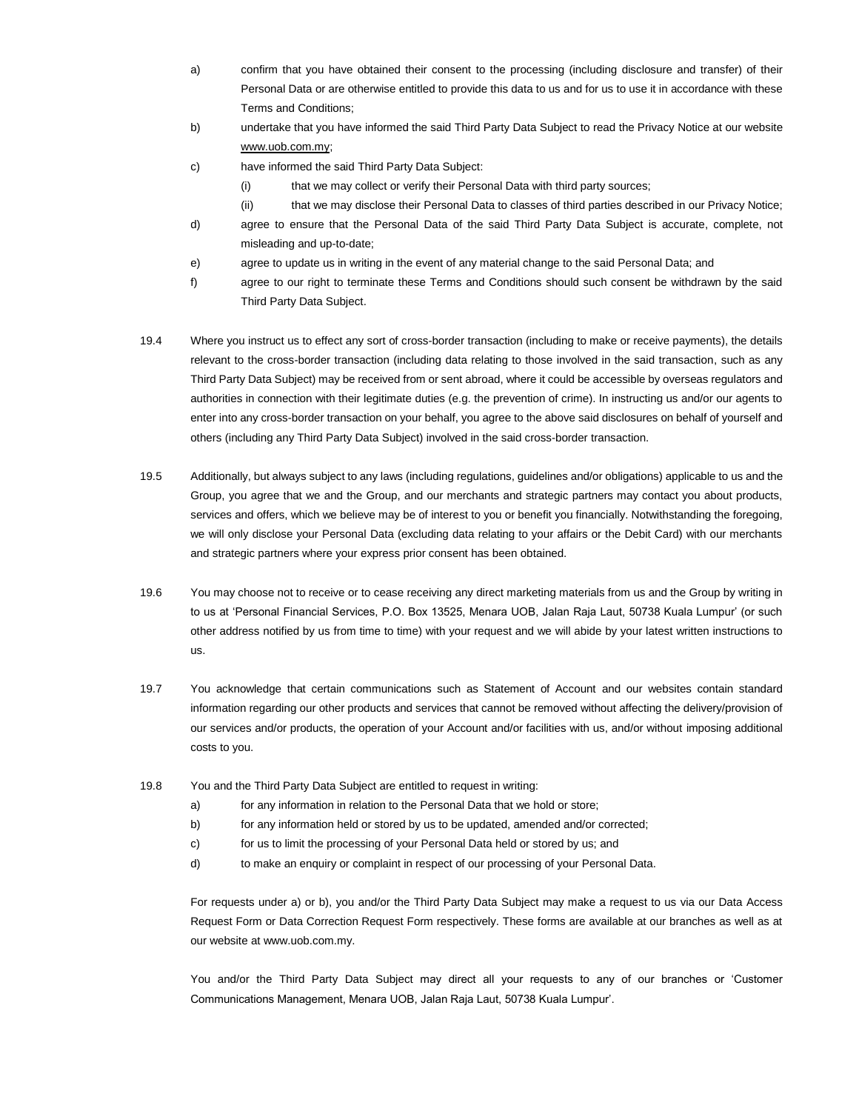- a) confirm that you have obtained their consent to the processing (including disclosure and transfer) of their Personal Data or are otherwise entitled to provide this data to us and for us to use it in accordance with these Terms and Conditions;
- b) undertake that you have informed the said Third Party Data Subject to read the Privacy Notice at our website [www.uob.com.my;](http://www.uob.com.my/)
- c) have informed the said Third Party Data Subject:
	- (i) that we may collect or verify their Personal Data with third party sources;
	- (ii) that we may disclose their Personal Data to classes of third parties described in our Privacy Notice;
- d) agree to ensure that the Personal Data of the said Third Party Data Subject is accurate, complete, not misleading and up-to-date;
- e) agree to update us in writing in the event of any material change to the said Personal Data; and
- f) agree to our right to terminate these Terms and Conditions should such consent be withdrawn by the said Third Party Data Subject.
- 19.4 Where you instruct us to effect any sort of cross-border transaction (including to make or receive payments), the details relevant to the cross-border transaction (including data relating to those involved in the said transaction, such as any Third Party Data Subject) may be received from or sent abroad, where it could be accessible by overseas regulators and authorities in connection with their legitimate duties (e.g. the prevention of crime). In instructing us and/or our agents to enter into any cross-border transaction on your behalf, you agree to the above said disclosures on behalf of yourself and others (including any Third Party Data Subject) involved in the said cross-border transaction.
- 19.5 Additionally, but always subject to any laws (including regulations, guidelines and/or obligations) applicable to us and the Group, you agree that we and the Group, and our merchants and strategic partners may contact you about products, services and offers, which we believe may be of interest to you or benefit you financially. Notwithstanding the foregoing, we will only disclose your Personal Data (excluding data relating to your affairs or the Debit Card) with our merchants and strategic partners where your express prior consent has been obtained.
- 19.6 You may choose not to receive or to cease receiving any direct marketing materials from us and the Group by writing in to us at 'Personal Financial Services, P.O. Box 13525, Menara UOB, Jalan Raja Laut, 50738 Kuala Lumpur' (or such other address notified by us from time to time) with your request and we will abide by your latest written instructions to us.
- 19.7 You acknowledge that certain communications such as Statement of Account and our websites contain standard information regarding our other products and services that cannot be removed without affecting the delivery/provision of our services and/or products, the operation of your Account and/or facilities with us, and/or without imposing additional costs to you.
- 19.8 You and the Third Party Data Subject are entitled to request in writing:
	- a) for any information in relation to the Personal Data that we hold or store;
	- b) for any information held or stored by us to be updated, amended and/or corrected;
	- c) for us to limit the processing of your Personal Data held or stored by us; and
	- d) to make an enquiry or complaint in respect of our processing of your Personal Data.

For requests under a) or b), you and/or the Third Party Data Subject may make a request to us via our Data Access Request Form or Data Correction Request Form respectively. These forms are available at our branches as well as at our website at www.uob.com.my.

You and/or the Third Party Data Subject may direct all your requests to any of our branches or 'Customer Communications Management, Menara UOB, Jalan Raja Laut, 50738 Kuala Lumpur'.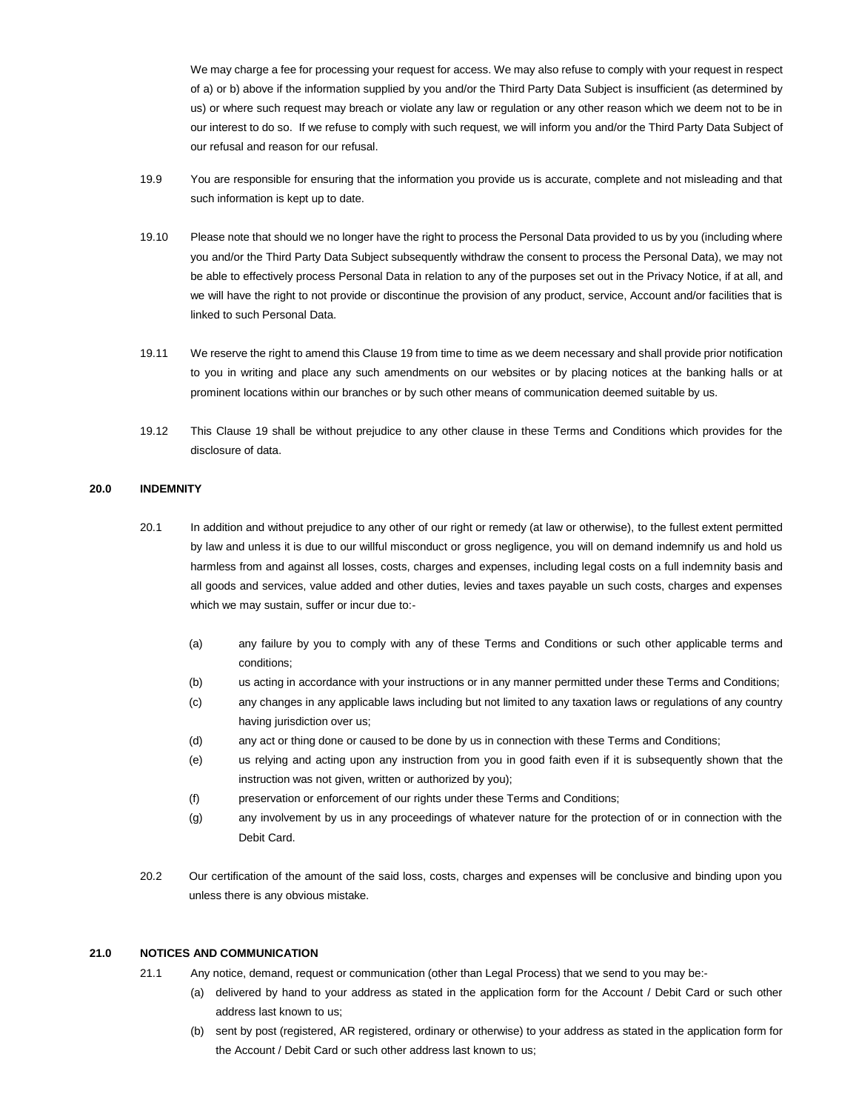We may charge a fee for processing your request for access. We may also refuse to comply with your request in respect of a) or b) above if the information supplied by you and/or the Third Party Data Subject is insufficient (as determined by us) or where such request may breach or violate any law or regulation or any other reason which we deem not to be in our interest to do so. If we refuse to comply with such request, we will inform you and/or the Third Party Data Subject of our refusal and reason for our refusal.

- 19.9 You are responsible for ensuring that the information you provide us is accurate, complete and not misleading and that such information is kept up to date.
- 19.10 Please note that should we no longer have the right to process the Personal Data provided to us by you (including where you and/or the Third Party Data Subject subsequently withdraw the consent to process the Personal Data), we may not be able to effectively process Personal Data in relation to any of the purposes set out in the Privacy Notice, if at all, and we will have the right to not provide or discontinue the provision of any product, service, Account and/or facilities that is linked to such Personal Data.
- 19.11 We reserve the right to amend this Clause 19 from time to time as we deem necessary and shall provide prior notification to you in writing and place any such amendments on our websites or by placing notices at the banking halls or at prominent locations within our branches or by such other means of communication deemed suitable by us.
- 19.12 This Clause 19 shall be without prejudice to any other clause in these Terms and Conditions which provides for the disclosure of data.

#### **20.0 INDEMNITY**

- 20.1 In addition and without prejudice to any other of our right or remedy (at law or otherwise), to the fullest extent permitted by law and unless it is due to our willful misconduct or gross negligence, you will on demand indemnify us and hold us harmless from and against all losses, costs, charges and expenses, including legal costs on a full indemnity basis and all goods and services, value added and other duties, levies and taxes payable un such costs, charges and expenses which we may sustain, suffer or incur due to:-
	- (a) any failure by you to comply with any of these Terms and Conditions or such other applicable terms and conditions;
	- (b) us acting in accordance with your instructions or in any manner permitted under these Terms and Conditions;
	- (c) any changes in any applicable laws including but not limited to any taxation laws or regulations of any country having jurisdiction over us;
	- (d) any act or thing done or caused to be done by us in connection with these Terms and Conditions;
	- (e) us relying and acting upon any instruction from you in good faith even if it is subsequently shown that the instruction was not given, written or authorized by you);
	- (f) preservation or enforcement of our rights under these Terms and Conditions;
	- (g) any involvement by us in any proceedings of whatever nature for the protection of or in connection with the Debit Card.
- 20.2 Our certification of the amount of the said loss, costs, charges and expenses will be conclusive and binding upon you unless there is any obvious mistake.

## **21.0 NOTICES AND COMMUNICATION**

- 21.1 Any notice, demand, request or communication (other than Legal Process) that we send to you may be:-
	- (a) delivered by hand to your address as stated in the application form for the Account / Debit Card or such other address last known to us;
	- (b) sent by post (registered, AR registered, ordinary or otherwise) to your address as stated in the application form for the Account / Debit Card or such other address last known to us;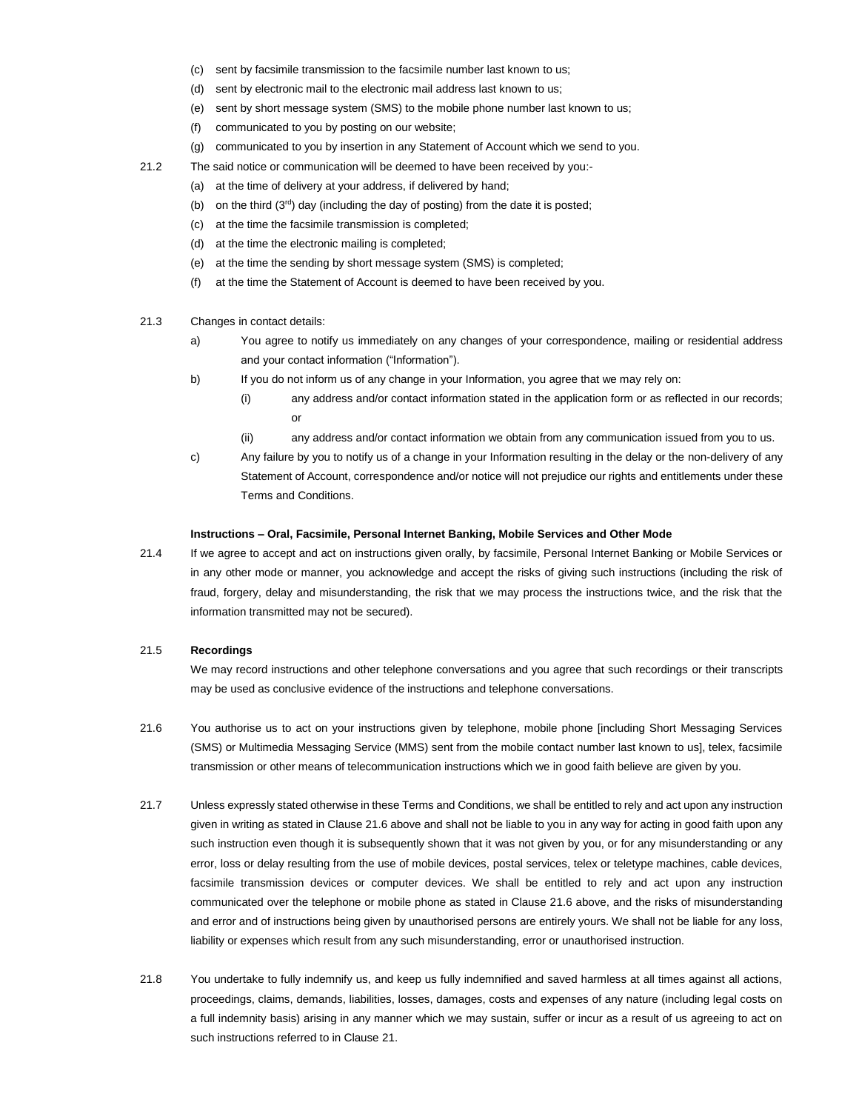- (c) sent by facsimile transmission to the facsimile number last known to us;
- (d) sent by electronic mail to the electronic mail address last known to us;
- (e) sent by short message system (SMS) to the mobile phone number last known to us;
- (f) communicated to you by posting on our website;
- (g) communicated to you by insertion in any Statement of Account which we send to you.
- 21.2 The said notice or communication will be deemed to have been received by you:-
	- (a) at the time of delivery at your address, if delivered by hand;
	- (b) on the third  $(3<sup>rd</sup>)$  day (including the day of posting) from the date it is posted;
	- (c) at the time the facsimile transmission is completed;
	- (d) at the time the electronic mailing is completed;
	- (e) at the time the sending by short message system (SMS) is completed;
	- (f) at the time the Statement of Account is deemed to have been received by you.
- 21.3 Changes in contact details:
	- a) You agree to notify us immediately on any changes of your correspondence, mailing or residential address and your contact information ("Information").
	- b) If you do not inform us of any change in your Information, you agree that we may rely on:
		- (i) any address and/or contact information stated in the application form or as reflected in our records; or
		- (ii) any address and/or contact information we obtain from any communication issued from you to us.
	- c) Any failure by you to notify us of a change in your Information resulting in the delay or the non-delivery of any Statement of Account, correspondence and/or notice will not prejudice our rights and entitlements under these Terms and Conditions.

#### **Instructions – Oral, Facsimile, Personal Internet Banking, Mobile Services and Other Mode**

21.4 If we agree to accept and act on instructions given orally, by facsimile, Personal Internet Banking or Mobile Services or in any other mode or manner, you acknowledge and accept the risks of giving such instructions (including the risk of fraud, forgery, delay and misunderstanding, the risk that we may process the instructions twice, and the risk that the information transmitted may not be secured).

## 21.5 **Recordings**

We may record instructions and other telephone conversations and you agree that such recordings or their transcripts may be used as conclusive evidence of the instructions and telephone conversations.

- 21.6 You authorise us to act on your instructions given by telephone, mobile phone [including Short Messaging Services (SMS) or Multimedia Messaging Service (MMS) sent from the mobile contact number last known to us], telex, facsimile transmission or other means of telecommunication instructions which we in good faith believe are given by you.
- 21.7 Unless expressly stated otherwise in these Terms and Conditions, we shall be entitled to rely and act upon any instruction given in writing as stated in Clause 21.6 above and shall not be liable to you in any way for acting in good faith upon any such instruction even though it is subsequently shown that it was not given by you, or for any misunderstanding or any error, loss or delay resulting from the use of mobile devices, postal services, telex or teletype machines, cable devices, facsimile transmission devices or computer devices. We shall be entitled to rely and act upon any instruction communicated over the telephone or mobile phone as stated in Clause 21.6 above, and the risks of misunderstanding and error and of instructions being given by unauthorised persons are entirely yours. We shall not be liable for any loss, liability or expenses which result from any such misunderstanding, error or unauthorised instruction.
- 21.8 You undertake to fully indemnify us, and keep us fully indemnified and saved harmless at all times against all actions, proceedings, claims, demands, liabilities, losses, damages, costs and expenses of any nature (including legal costs on a full indemnity basis) arising in any manner which we may sustain, suffer or incur as a result of us agreeing to act on such instructions referred to in Clause 21.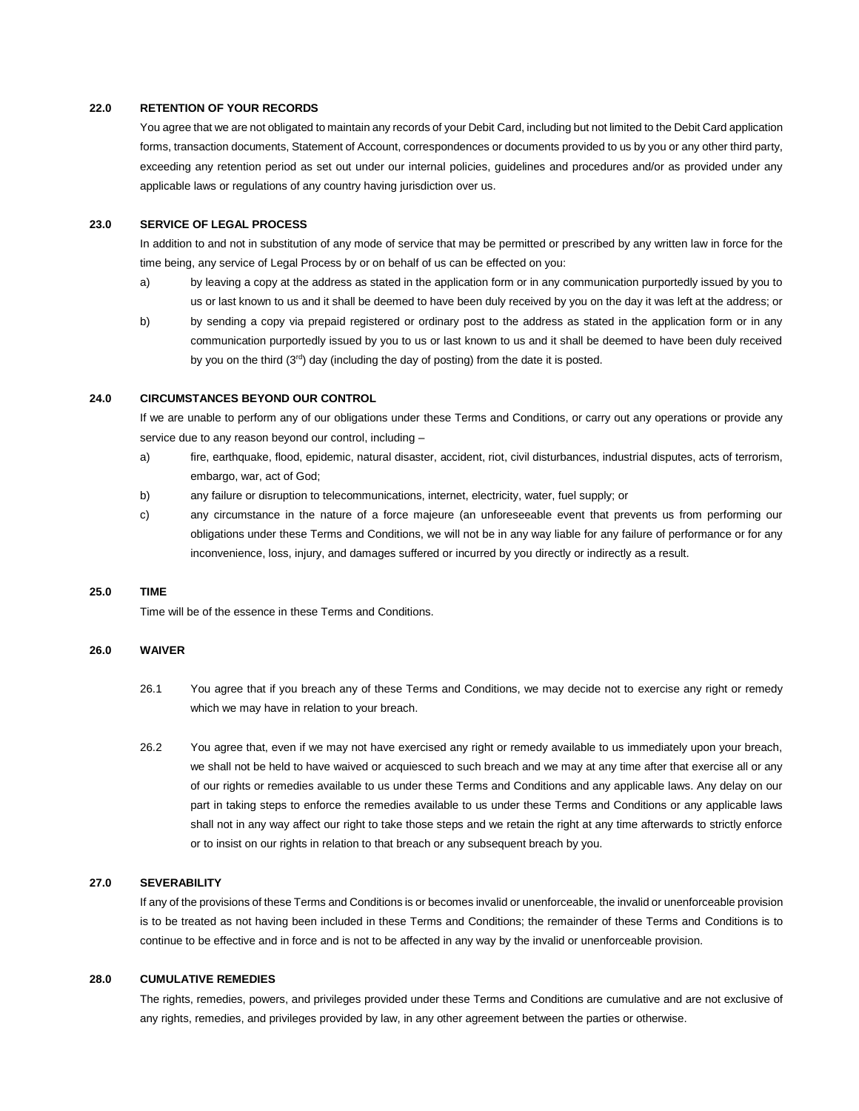#### **22.0 RETENTION OF YOUR RECORDS**

You agree that we are not obligated to maintain any records of your Debit Card, including but not limited to the Debit Card application forms, transaction documents, Statement of Account, correspondences or documents provided to us by you or any other third party, exceeding any retention period as set out under our internal policies, guidelines and procedures and/or as provided under any applicable laws or regulations of any country having jurisdiction over us.

# **23.0 SERVICE OF LEGAL PROCESS**

In addition to and not in substitution of any mode of service that may be permitted or prescribed by any written law in force for the time being, any service of Legal Process by or on behalf of us can be effected on you:

- a) by leaving a copy at the address as stated in the application form or in any communication purportedly issued by you to us or last known to us and it shall be deemed to have been duly received by you on the day it was left at the address; or
- b) by sending a copy via prepaid registered or ordinary post to the address as stated in the application form or in any communication purportedly issued by you to us or last known to us and it shall be deemed to have been duly received by you on the third  $(3<sup>rd</sup>)$  day (including the day of posting) from the date it is posted.

## **24.0 CIRCUMSTANCES BEYOND OUR CONTROL**

If we are unable to perform any of our obligations under these Terms and Conditions, or carry out any operations or provide any service due to any reason beyond our control, including –

- a) fire, earthquake, flood, epidemic, natural disaster, accident, riot, civil disturbances, industrial disputes, acts of terrorism, embargo, war, act of God;
- b) any failure or disruption to telecommunications, internet, electricity, water, fuel supply; or
- c) any circumstance in the nature of a force majeure (an unforeseeable event that prevents us from performing our obligations under these Terms and Conditions, we will not be in any way liable for any failure of performance or for any inconvenience, loss, injury, and damages suffered or incurred by you directly or indirectly as a result.

#### **25.0 TIME**

Time will be of the essence in these Terms and Conditions.

## **26.0 WAIVER**

- 26.1 You agree that if you breach any of these Terms and Conditions, we may decide not to exercise any right or remedy which we may have in relation to your breach.
- 26.2 You agree that, even if we may not have exercised any right or remedy available to us immediately upon your breach, we shall not be held to have waived or acquiesced to such breach and we may at any time after that exercise all or any of our rights or remedies available to us under these Terms and Conditions and any applicable laws. Any delay on our part in taking steps to enforce the remedies available to us under these Terms and Conditions or any applicable laws shall not in any way affect our right to take those steps and we retain the right at any time afterwards to strictly enforce or to insist on our rights in relation to that breach or any subsequent breach by you.

#### **27.0 SEVERABILITY**

If any of the provisions of these Terms and Conditions is or becomes invalid or unenforceable, the invalid or unenforceable provision is to be treated as not having been included in these Terms and Conditions; the remainder of these Terms and Conditions is to continue to be effective and in force and is not to be affected in any way by the invalid or unenforceable provision.

## **28.0 CUMULATIVE REMEDIES**

The rights, remedies, powers, and privileges provided under these Terms and Conditions are cumulative and are not exclusive of any rights, remedies, and privileges provided by law, in any other agreement between the parties or otherwise.